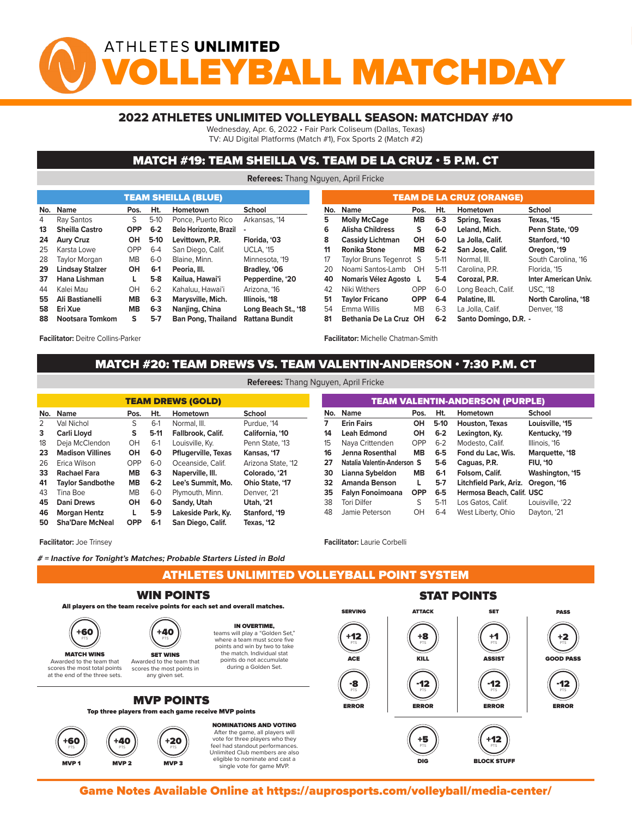# ATHLETES UNLIMITED BALL MATCHDA

#### 2022 ATHLETES UNLIMITED VOLLEYBALL SEASON: MATCHDAY #10

Wednesday, Apr. 6, 2022 • Fair Park Coliseum (Dallas, Texas)

TV: AU Digital Platforms (Match #1), Fox Sports 2 (Match #2)

#### MATCH #19: TEAM SHEILLA VS. TEAM DE LA CRUZ • 5 P.M. CT

**Referees:** Thang Nguyen, April Fricke

|    |                        |            |         | <b>TEAM SHEILLA (BLUE)</b>    |                       |     | <b>TEAM DE LA CRUZ (ORANGE)</b> |                         |         |                       |  |  |  |
|----|------------------------|------------|---------|-------------------------------|-----------------------|-----|---------------------------------|-------------------------|---------|-----------------------|--|--|--|
|    | No. Name               | Pos.       | Ht.     | Hometown                      | <b>School</b>         | No. | <b>Name</b>                     | Pos.                    | Ht.     | Hometown              |  |  |  |
| 4  | Ray Santos             | S.         | $5-10$  | Ponce, Puerto Rico            | Arkansas, '14         | 5   | <b>Molly McCage</b>             | <b>MB</b>               | $6 - 3$ | Spring, Texas         |  |  |  |
| 13 | <b>Sheilla Castro</b>  | <b>OPP</b> | $6 - 2$ | <b>Belo Horizonte, Brazil</b> |                       | 6   | <b>Alisha Childress</b>         | s                       | 6-0     | Leland, Mich.         |  |  |  |
| 24 | <b>Aury Cruz</b>       | OН         | $5-10$  | Levittown, P.R.               | Florida, '03          | 8   | <b>Cassidy Lichtman</b>         | OH                      | 6-0     | La Jolla, Calif.      |  |  |  |
| 25 | Karsta Lowe            | OPP        | $6 - 4$ | San Diego, Calif.             | <b>UCLA. '15</b>      | 11  | Ronika Stone                    | <b>MB</b>               | $6 - 2$ | San Jose, Calif.      |  |  |  |
| 28 | Taylor Morgan          | МB         | $6 - 0$ | Blaine, Minn.                 | Minnesota, '19        | 17  |                                 | Taylor Bruns Tegenrot S | $5-11$  | Normal, III.          |  |  |  |
| 29 | <b>Lindsay Stalzer</b> | <b>OH</b>  | $6-1$   | Peoria, III.                  | Bradley, '06          | 20  | Noami Santos-Lamb               | OH                      | $5-11$  | Carolina, P.R.        |  |  |  |
| 37 | Hana Lishman           | L.         | $5-8$   | Kailua, Hawai'i               | Pepperdine. '20       | 40  |                                 | Nomaris Vélez Agosto L  | 5-4     | Corozal, P.R.         |  |  |  |
| 44 | Kalei Mau              | OH         | $6 - 2$ | Kahaluu, Hawai'i              | Arizona, '16          | 42  | Niki Withers                    | <b>OPP</b>              | $6-0$   | Long Beach, Calif.    |  |  |  |
| 55 | Ali Bastianelli        | <b>MB</b>  | $6-3$   | <b>Marysville, Mich.</b>      | Illinois, '18         | 51  | <b>Tavlor Fricano</b>           | <b>OPP</b>              | 6-4     | Palatine, III.        |  |  |  |
| 58 | Eri Xue                | MВ         | $6-3$   | Naniing, China                | Long Beach St., '18   | 54  | Emma Willis                     | MВ                      | $6 - 3$ | La Jolla, Calif.      |  |  |  |
| 88 | Nootsara Tomkom        | S.         | $5 - 7$ | <b>Ban Pong, Thailand</b>     | <b>Rattana Bundit</b> | 81  |                                 | Bethania De La Cruz OH  | $6 - 2$ | Santo Domingo, D.R. - |  |  |  |

**Facilitator:** Deitre Collins-Parker

**Facilitator:** Michelle Chatman-Smith

**Facilitator:** Laurie Corbelli

## MATCH #20: TEAM DREWS VS. TEAM VALENTIN-ANDERSON • 7:30 P.M. CT<br>References and the point of the point of the point of the contract of the contract of the contract of the contract of the contract of the contract of the cont

**Referees:** Thang Nguyen, April Fricke

| <b>TEAM DREWS (GOLD)</b> |                         |           |         |                            |                    |  |  |  |  |  |  |  |  |
|--------------------------|-------------------------|-----------|---------|----------------------------|--------------------|--|--|--|--|--|--|--|--|
| No.                      | <b>Name</b>             | Pos.      | Ht.     | Hometown                   | School             |  |  |  |  |  |  |  |  |
| 2                        | Val Nichol              | S         | $6-1$   | Normal, III.               | Purdue, '14        |  |  |  |  |  |  |  |  |
| 3                        | Carli Lloyd             | s         | $5-11$  | Fallbrook, Calif.          | California, '10    |  |  |  |  |  |  |  |  |
| 18                       | Deja McClendon          | OH        | $6-1$   | Louisville, Ky.            | Penn State, '13    |  |  |  |  |  |  |  |  |
| 23                       | <b>Madison Villines</b> | OН        | 6-0     | <b>Pflugerville, Texas</b> | Kansas, '17        |  |  |  |  |  |  |  |  |
| 26                       | Erica Wilson            | OPP       | $6-0$   | Oceanside, Calif.          | Arizona State, '12 |  |  |  |  |  |  |  |  |
| 33                       | Rachael Fara            | <b>MB</b> | $6 - 3$ | Naperville, III.           | Colorado. '21      |  |  |  |  |  |  |  |  |
| 41                       | <b>Taylor Sandbothe</b> | <b>MB</b> | $6 - 2$ | Lee's Summit. Mo.          | Ohio State, '17    |  |  |  |  |  |  |  |  |
| 43                       | Tina Boe                | <b>MB</b> | $6-0$   | Plymouth, Minn.            | Denver. '21        |  |  |  |  |  |  |  |  |
| 45                       | <b>Dani Drews</b>       | OH        | $6-0$   | Sandy, Utah                | <b>Utah, '21</b>   |  |  |  |  |  |  |  |  |
| 46                       | <b>Morgan Hentz</b>     | L         | 5-9     | Lakeside Park, Ky.         | Stanford, '19      |  |  |  |  |  |  |  |  |
| 50                       | <b>Sha'Dare McNeal</b>  | OPP       | $6-1$   | San Diego, Calif.          | Texas. '12         |  |  |  |  |  |  |  |  |

|     | <b>TEAM VALENTIN-ANDERSON (PURPLE)</b> |            |         |                           |                 |  |  |  |  |  |  |  |  |  |  |
|-----|----------------------------------------|------------|---------|---------------------------|-----------------|--|--|--|--|--|--|--|--|--|--|
| No. | <b>Name</b>                            | Pos.       | Ht.     | Hometown                  | School          |  |  |  |  |  |  |  |  |  |  |
| 7   | <b>Erin Fairs</b>                      | OH         | $5-10$  | Houston, Texas            | Louisville, '15 |  |  |  |  |  |  |  |  |  |  |
| 14  | <b>Leah Edmond</b>                     | OH         | $6 - 2$ | Lexington, Ky.            | Kentucky, '19   |  |  |  |  |  |  |  |  |  |  |
| 15  | Naya Crittenden                        | OPP        | $6 - 2$ | Modesto, Calif.           | Illinois, '16   |  |  |  |  |  |  |  |  |  |  |
| 16  | Jenna Rosenthal                        | <b>MB</b>  | $6-5$   | Fond du Lac. Wis.         | Marquette, '18  |  |  |  |  |  |  |  |  |  |  |
| 27  | Natalia Valentin-Anderson S            |            | $5-6$   | Caguas, P.R.              | <b>FIU, '10</b> |  |  |  |  |  |  |  |  |  |  |
| 30  | Lianna Sybeldon                        | MВ         | $6-1$   | Folsom, Calif.            | Washington, '15 |  |  |  |  |  |  |  |  |  |  |
| 32  | <b>Amanda Benson</b>                   | L          | $5-7$   | Litchfield Park, Ariz.    | Oregon, '16     |  |  |  |  |  |  |  |  |  |  |
| 35  | Falyn Fonoimoana                       | <b>OPP</b> | $6-5$   | Hermosa Beach, Calif. USC |                 |  |  |  |  |  |  |  |  |  |  |
| 38  | <b>Tori Dilfer</b>                     | S          | $5-11$  | Los Gatos, Calif.         | Louisville, '22 |  |  |  |  |  |  |  |  |  |  |
| 48  | Jamie Peterson                         | OН         | $6 - 4$ | West Liberty, Ohio        | Dayton, '21     |  |  |  |  |  |  |  |  |  |  |

single vote for game MVP.

**Facilitator:** Joe Trinsey

**# = Inactive for Tonight's Matches; Probable Starters Listed in Bold**

ATHLETES UNLIMITED VOLLEYBALL POINT SYSTEM MVP 2 MVP 2 MVP 3 MVP 3 MVP 3 MVP 3 MVP 3 MVP 3 MVP 3 MVP 3 MVP 3 MVP 3 MVP 3 MVP 3 MVP 3 MVP 3 MVP 3 MVP 3 MV



Game Notes Available Online at https://auprosports.com/volleyball/media-center/<br>.